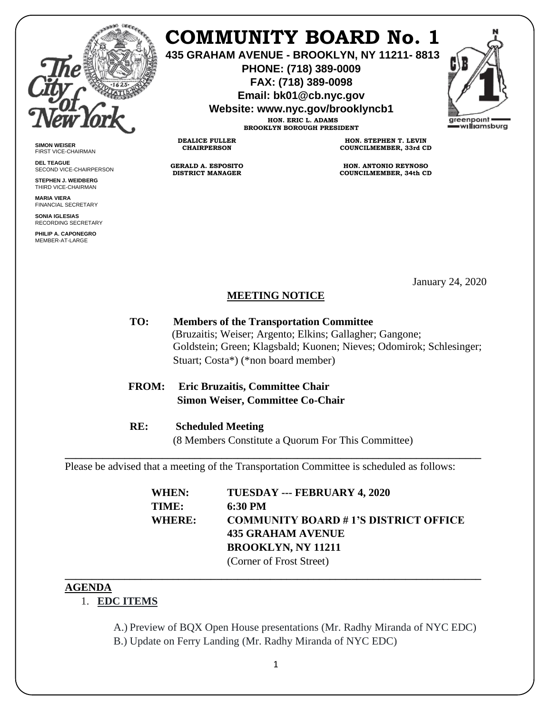

# **COMMUNITY BOARD No. 1**

**435 GRAHAM AVENUE - BROOKLYN, NY 11211- 8813**

**PHONE: (718) 389-0009 FAX: (718) 389-0098**

**Email: bk01@cb.nyc.gov**

**Website: www.nyc.gov/brooklyncb1 HON. ERIC L. ADAMS**

**BROOKLYN BOROUGH PRESIDENT**



**SIMON WEISER** FIRST VICE-CHAIRMAN

**DEL TEAGUE** SECOND VICE-CHAIRPERSON

**STEPHEN J. WEIDBERG** THIRD VICE-CHAIRMAN **MARIA VIERA**

FINANCIAL SECRETARY **SONIA IGLESIAS**

RECORDING SECRETARY **PHILIP A. CAPONEGRO** MEMBER-AT-LARGE

**HON. STEPHEN T. LEVIN COUNCILMEMBER, 33rd CD**

> **HON. ANTONIO REYNOSO COUNCILMEMBER, 34th CD**

> > January 24, 2020

#### **MEETING NOTICE**

- **TO: Members of the Transportation Committee** (Bruzaitis; Weiser; Argento; Elkins; Gallagher; Gangone; Goldstein; Green; Klagsbald; Kuonen; Nieves; Odomirok; Schlesinger; Stuart; Costa\*) (\*non board member)
- **FROM: Eric Bruzaitis, Committee Chair Simon Weiser, Committee Co-Chair**

**DEALICE FULLER CHAIRPERSON**

**GERALD A. ESPOSITO DISTRICT MANAGER**

**RE: Scheduled Meeting** (8 Members Constitute a Quorum For This Committee)

**\_\_\_\_\_\_\_\_\_\_\_\_\_\_\_\_\_\_\_\_\_\_\_\_\_\_\_\_\_\_\_\_\_\_\_\_\_\_\_\_\_\_\_\_\_\_\_\_\_\_\_\_\_\_\_\_\_\_\_\_\_\_\_\_\_\_\_\_\_\_\_\_\_\_\_\_\_**

Please be advised that a meeting of the Transportation Committee is scheduled as follows:

| WHEN:         | TUESDAY --- FEBRUARY 4, 2020                |
|---------------|---------------------------------------------|
| TIME:         | 6:30 PM                                     |
| <b>WHERE:</b> | <b>COMMUNITY BOARD #1'S DISTRICT OFFICE</b> |
|               | 435 GRAHAM AVENUE                           |
|               | <b>BROOKLYN, NY 11211</b>                   |
|               | (Corner of Frost Street)                    |

#### **AGENDA**

### 1. **EDC ITEMS**

A.) Preview of BQX Open House presentations (Mr. Radhy Miranda of NYC EDC) B.) Update on Ferry Landing (Mr. Radhy Miranda of NYC EDC)

**\_\_\_\_\_\_\_\_\_\_\_\_\_\_\_\_\_\_\_\_\_\_\_\_\_\_\_\_\_\_\_\_\_\_\_\_\_\_\_\_\_\_\_\_\_\_\_\_\_\_\_\_\_\_\_\_\_\_\_\_\_\_\_\_\_\_\_\_\_\_\_\_\_\_\_\_\_**